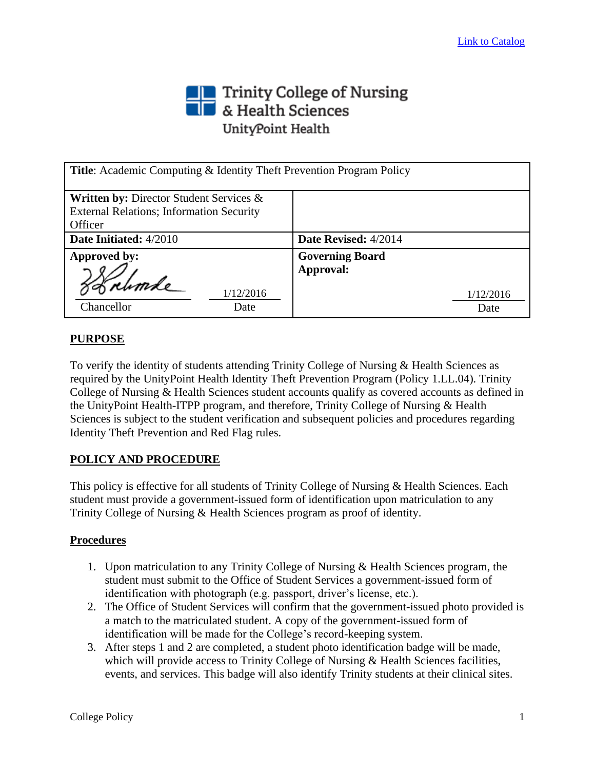## Trinity College of Nursing<br>
Section British Sciences UnityPoint Health

| <b>Title:</b> Academic Computing & Identity Theft Prevention Program Policy                                                    |                                     |
|--------------------------------------------------------------------------------------------------------------------------------|-------------------------------------|
| <b>Written by: Director Student Services <math>\&amp;</math></b><br><b>External Relations; Information Security</b><br>Officer |                                     |
| Date Initiated: 4/2010                                                                                                         | Date Revised: 4/2014                |
| Approved by:                                                                                                                   | <b>Governing Board</b><br>Approval: |
| 1/12/2016<br>Chancellor<br>Date                                                                                                | 1/12/2016<br>Date                   |

## **PURPOSE**

To verify the identity of students attending Trinity College of Nursing & Health Sciences as required by the UnityPoint Health Identity Theft Prevention Program (Policy 1.LL.04). Trinity College of Nursing & Health Sciences student accounts qualify as covered accounts as defined in the UnityPoint Health-ITPP program, and therefore, Trinity College of Nursing & Health Sciences is subject to the student verification and subsequent policies and procedures regarding Identity Theft Prevention and Red Flag rules.

## **POLICY AND PROCEDURE**

This policy is effective for all students of Trinity College of Nursing & Health Sciences. Each student must provide a government-issued form of identification upon matriculation to any Trinity College of Nursing & Health Sciences program as proof of identity.

## **Procedures**

- 1. Upon matriculation to any Trinity College of Nursing & Health Sciences program, the student must submit to the Office of Student Services a government-issued form of identification with photograph (e.g. passport, driver's license, etc.).
- 2. The Office of Student Services will confirm that the government-issued photo provided is a match to the matriculated student. A copy of the government-issued form of identification will be made for the College's record-keeping system.
- 3. After steps 1 and 2 are completed, a student photo identification badge will be made, which will provide access to Trinity College of Nursing & Health Sciences facilities, events, and services. This badge will also identify Trinity students at their clinical sites.